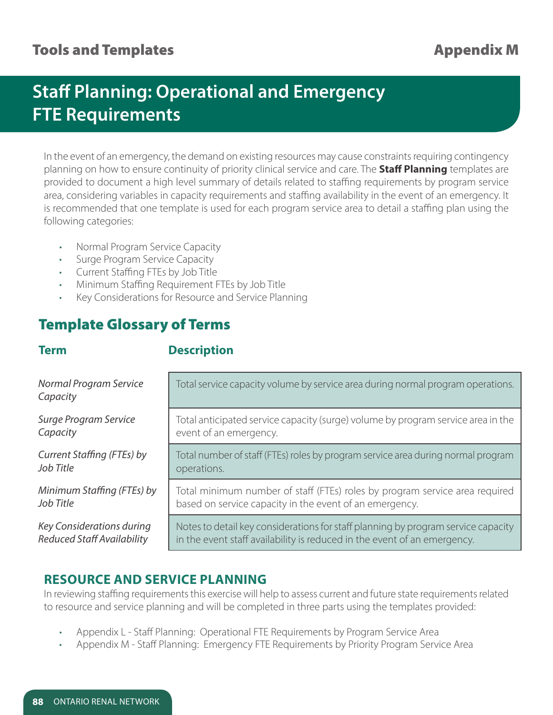## Tools and Templates **Appendix M**

# **Staff Planning: Operational and Emergency FTE Requirements**

In the event of an emergency, the demand on existing resources may cause constraints requiring contingency planning on how to ensure continuity of priority clinical service and care. The **Staff Planning** templates are provided to document a high level summary of details related to staffing requirements by program service area, considering variables in capacity requirements and staffing availability in the event of an emergency. It is recommended that one template is used for each program service area to detail a staffing plan using the following categories:

- Normal Program Service Capacity
- Surge Program Service Capacity
- Current Staffing FTEs by Job Title
- Minimum Staffing Requirement FTEs by Job Title
- Key Considerations for Resource and Service Planning

# Template Glossary of Terms

#### **Term Description**

| Normal Program Service<br>Capacity | Total service capacity volume by service area during normal program operations.   |
|------------------------------------|-----------------------------------------------------------------------------------|
| Surge Program Service              | Total anticipated service capacity (surge) volume by program service area in the  |
| Capacity                           | event of an emergency.                                                            |
| Current Staffing (FTEs) by         | Total number of staff (FTEs) roles by program service area during normal program  |
| Job Title                          | operations.                                                                       |
| Minimum Staffing (FTEs) by         | Total minimum number of staff (FTEs) roles by program service area required       |
| Job Title                          | based on service capacity in the event of an emergency.                           |
| Key Considerations during          | Notes to detail key considerations for staff planning by program service capacity |
| <b>Reduced Staff Availability</b>  | in the event staff availability is reduced in the event of an emergency.          |

### **RESOURCE AND SERVICE PLANNING**

In reviewing staffing requirements this exercise will help to assess current and future state requirements related to resource and service planning and will be completed in three parts using the templates provided:

- Appendix L Staff Planning: Operational FTE Requirements by Program Service Area
- Appendix M Staff Planning: Emergency FTE Requirements by Priority Program Service Area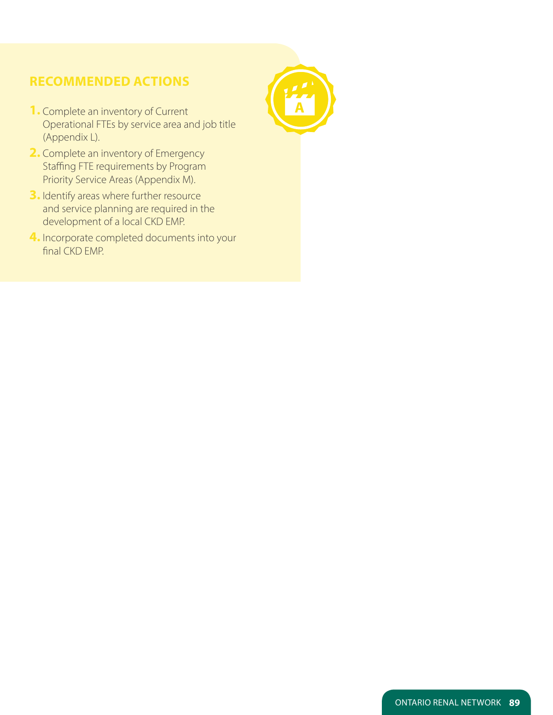### **RECOMMENDED ACTIONS**

- **1.** Complete an inventory of Current Operational FTEs by service area and job title (Appendix L).
- **2.** Complete an inventory of Emergency Staffing FTE requirements by Program Priority Service Areas (Appendix M).
- **3.** Identify areas where further resource and service planning are required in the development of a local CKD EMP.
- **4.** Incorporate completed documents into your final CKD EMP.

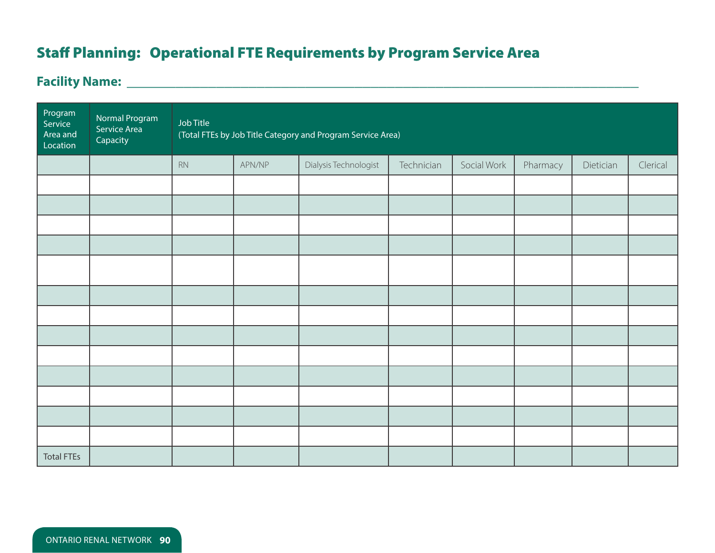# Staff Planning: Operational FTE Requirements by Program Service Area

# **Facility Name: \_\_\_\_\_\_\_\_\_\_\_\_\_\_\_\_\_\_\_\_\_\_\_\_\_\_\_\_\_\_\_\_\_\_\_\_\_\_\_\_\_\_\_\_\_\_\_\_\_\_\_\_\_\_\_\_\_\_\_\_\_\_\_**

| Program<br>Service<br>Area and<br>Location | Normal Program<br>Service Area<br>Capacity | Job Title<br>(Total FTEs by Job Title Category and Program Service Area) |        |                       |            |             |          |           |          |  |
|--------------------------------------------|--------------------------------------------|--------------------------------------------------------------------------|--------|-----------------------|------------|-------------|----------|-----------|----------|--|
|                                            |                                            | RN                                                                       | APN/NP | Dialysis Technologist | Technician | Social Work | Pharmacy | Dietician | Clerical |  |
|                                            |                                            |                                                                          |        |                       |            |             |          |           |          |  |
|                                            |                                            |                                                                          |        |                       |            |             |          |           |          |  |
|                                            |                                            |                                                                          |        |                       |            |             |          |           |          |  |
|                                            |                                            |                                                                          |        |                       |            |             |          |           |          |  |
|                                            |                                            |                                                                          |        |                       |            |             |          |           |          |  |
|                                            |                                            |                                                                          |        |                       |            |             |          |           |          |  |
|                                            |                                            |                                                                          |        |                       |            |             |          |           |          |  |
|                                            |                                            |                                                                          |        |                       |            |             |          |           |          |  |
|                                            |                                            |                                                                          |        |                       |            |             |          |           |          |  |
|                                            |                                            |                                                                          |        |                       |            |             |          |           |          |  |
|                                            |                                            |                                                                          |        |                       |            |             |          |           |          |  |
|                                            |                                            |                                                                          |        |                       |            |             |          |           |          |  |
|                                            |                                            |                                                                          |        |                       |            |             |          |           |          |  |
| <b>Total FTEs</b>                          |                                            |                                                                          |        |                       |            |             |          |           |          |  |